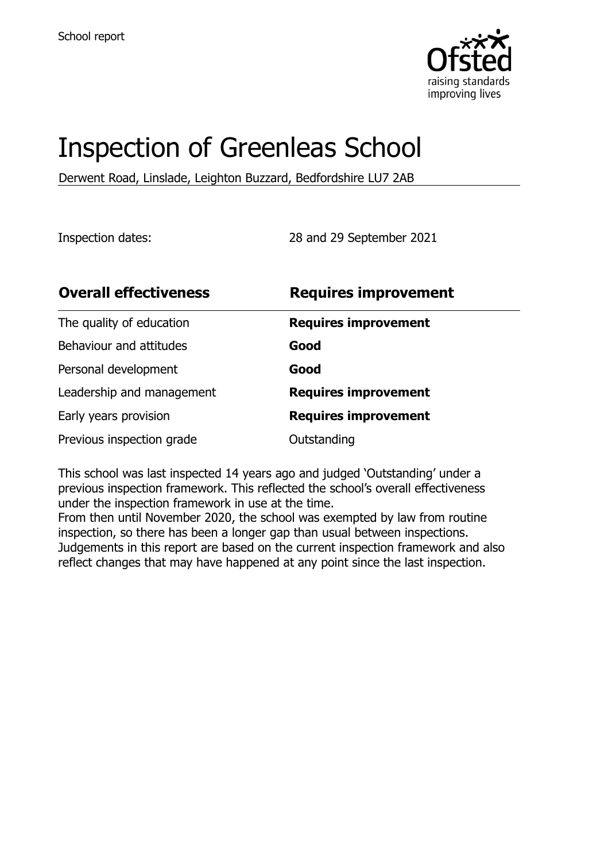

# Inspection of Greenleas School

Derwent Road, Linslade, Leighton Buzzard, Bedfordshire LU7 2AB

Inspection dates: 28 and 29 September 2021

| <b>Overall effectiveness</b> | <b>Requires improvement</b> |
|------------------------------|-----------------------------|
| The quality of education     | <b>Requires improvement</b> |
| Behaviour and attitudes      | Good                        |
| Personal development         | Good                        |
| Leadership and management    | <b>Requires improvement</b> |
| Early years provision        | <b>Requires improvement</b> |
| Previous inspection grade    | Outstanding                 |

This school was last inspected 14 years ago and judged 'Outstanding' under a previous inspection framework. This reflected the school's overall effectiveness under the inspection framework in use at the time.

From then until November 2020, the school was exempted by law from routine inspection, so there has been a longer gap than usual between inspections. Judgements in this report are based on the current inspection framework and also reflect changes that may have happened at any point since the last inspection.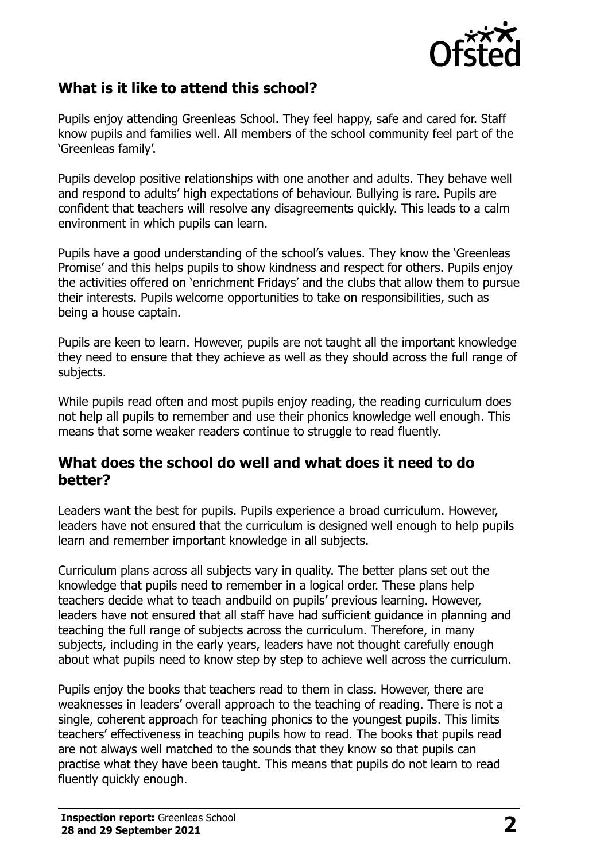

## **What is it like to attend this school?**

Pupils enjoy attending Greenleas School. They feel happy, safe and cared for. Staff know pupils and families well. All members of the school community feel part of the 'Greenleas family'.

Pupils develop positive relationships with one another and adults. They behave well and respond to adults' high expectations of behaviour. Bullying is rare. Pupils are confident that teachers will resolve any disagreements quickly. This leads to a calm environment in which pupils can learn.

Pupils have a good understanding of the school's values. They know the 'Greenleas Promise' and this helps pupils to show kindness and respect for others. Pupils enjoy the activities offered on 'enrichment Fridays' and the clubs that allow them to pursue their interests. Pupils welcome opportunities to take on responsibilities, such as being a house captain.

Pupils are keen to learn. However, pupils are not taught all the important knowledge they need to ensure that they achieve as well as they should across the full range of subjects.

While pupils read often and most pupils enjoy reading, the reading curriculum does not help all pupils to remember and use their phonics knowledge well enough. This means that some weaker readers continue to struggle to read fluently.

### **What does the school do well and what does it need to do better?**

Leaders want the best for pupils. Pupils experience a broad curriculum. However, leaders have not ensured that the curriculum is designed well enough to help pupils learn and remember important knowledge in all subjects.

Curriculum plans across all subjects vary in quality. The better plans set out the knowledge that pupils need to remember in a logical order. These plans help teachers decide what to teach andbuild on pupils' previous learning. However, leaders have not ensured that all staff have had sufficient guidance in planning and teaching the full range of subjects across the curriculum. Therefore, in many subjects, including in the early years, leaders have not thought carefully enough about what pupils need to know step by step to achieve well across the curriculum.

Pupils enjoy the books that teachers read to them in class. However, there are weaknesses in leaders' overall approach to the teaching of reading. There is not a single, coherent approach for teaching phonics to the youngest pupils. This limits teachers' effectiveness in teaching pupils how to read. The books that pupils read are not always well matched to the sounds that they know so that pupils can practise what they have been taught. This means that pupils do not learn to read fluently quickly enough.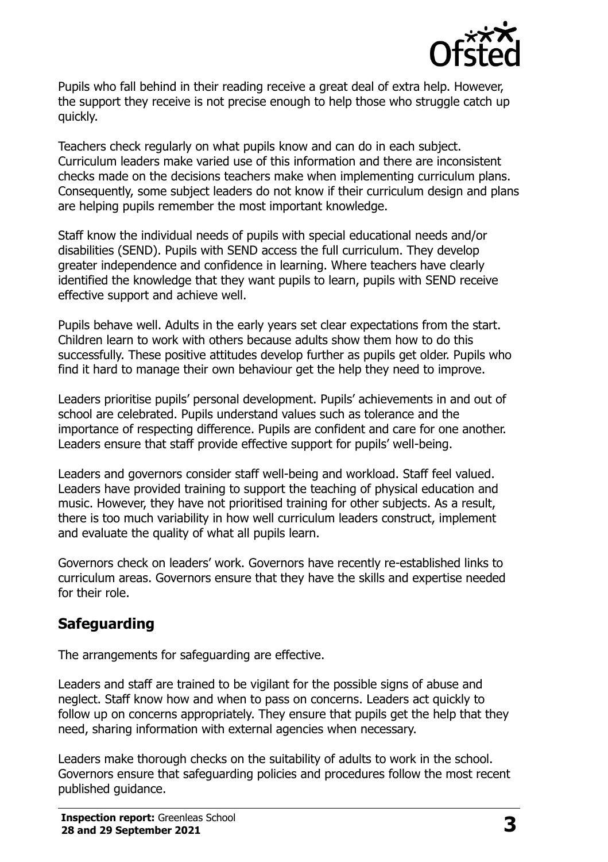

Pupils who fall behind in their reading receive a great deal of extra help. However, the support they receive is not precise enough to help those who struggle catch up quickly.

Teachers check regularly on what pupils know and can do in each subject. Curriculum leaders make varied use of this information and there are inconsistent checks made on the decisions teachers make when implementing curriculum plans. Consequently, some subject leaders do not know if their curriculum design and plans are helping pupils remember the most important knowledge.

Staff know the individual needs of pupils with special educational needs and/or disabilities (SEND). Pupils with SEND access the full curriculum. They develop greater independence and confidence in learning. Where teachers have clearly identified the knowledge that they want pupils to learn, pupils with SEND receive effective support and achieve well.

Pupils behave well. Adults in the early years set clear expectations from the start. Children learn to work with others because adults show them how to do this successfully. These positive attitudes develop further as pupils get older. Pupils who find it hard to manage their own behaviour get the help they need to improve.

Leaders prioritise pupils' personal development. Pupils' achievements in and out of school are celebrated. Pupils understand values such as tolerance and the importance of respecting difference. Pupils are confident and care for one another. Leaders ensure that staff provide effective support for pupils' well-being.

Leaders and governors consider staff well-being and workload. Staff feel valued. Leaders have provided training to support the teaching of physical education and music. However, they have not prioritised training for other subjects. As a result, there is too much variability in how well curriculum leaders construct, implement and evaluate the quality of what all pupils learn.

Governors check on leaders' work. Governors have recently re-established links to curriculum areas. Governors ensure that they have the skills and expertise needed for their role.

# **Safeguarding**

The arrangements for safeguarding are effective.

Leaders and staff are trained to be vigilant for the possible signs of abuse and neglect. Staff know how and when to pass on concerns. Leaders act quickly to follow up on concerns appropriately. They ensure that pupils get the help that they need, sharing information with external agencies when necessary.

Leaders make thorough checks on the suitability of adults to work in the school. Governors ensure that safeguarding policies and procedures follow the most recent published guidance.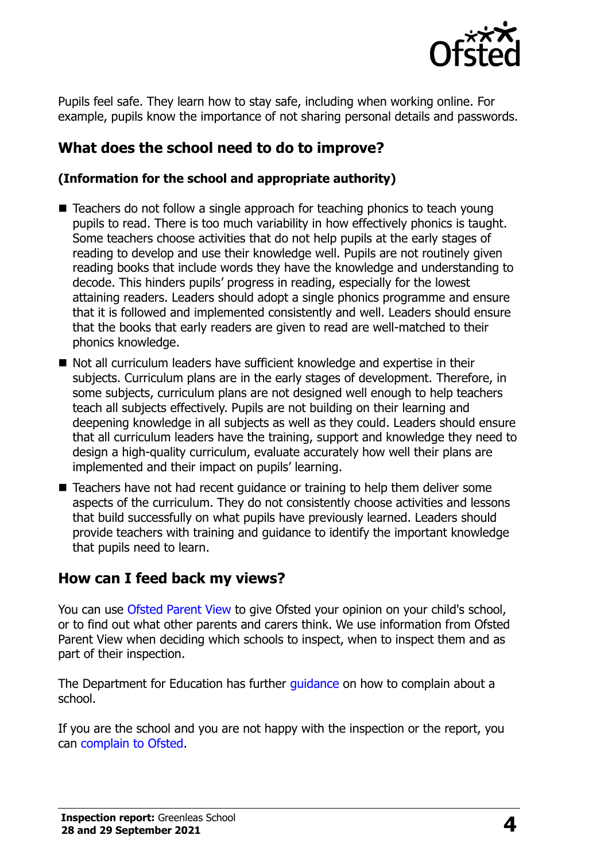

Pupils feel safe. They learn how to stay safe, including when working online. For example, pupils know the importance of not sharing personal details and passwords.

# **What does the school need to do to improve?**

#### **(Information for the school and appropriate authority)**

- Teachers do not follow a single approach for teaching phonics to teach young pupils to read. There is too much variability in how effectively phonics is taught. Some teachers choose activities that do not help pupils at the early stages of reading to develop and use their knowledge well. Pupils are not routinely given reading books that include words they have the knowledge and understanding to decode. This hinders pupils' progress in reading, especially for the lowest attaining readers. Leaders should adopt a single phonics programme and ensure that it is followed and implemented consistently and well. Leaders should ensure that the books that early readers are given to read are well-matched to their phonics knowledge.
- Not all curriculum leaders have sufficient knowledge and expertise in their subjects. Curriculum plans are in the early stages of development. Therefore, in some subjects, curriculum plans are not designed well enough to help teachers teach all subjects effectively. Pupils are not building on their learning and deepening knowledge in all subjects as well as they could. Leaders should ensure that all curriculum leaders have the training, support and knowledge they need to design a high-quality curriculum, evaluate accurately how well their plans are implemented and their impact on pupils' learning.
- Teachers have not had recent quidance or training to help them deliver some aspects of the curriculum. They do not consistently choose activities and lessons that build successfully on what pupils have previously learned. Leaders should provide teachers with training and guidance to identify the important knowledge that pupils need to learn.

## **How can I feed back my views?**

You can use [Ofsted Parent View](http://parentview.ofsted.gov.uk/) to give Ofsted your opinion on your child's school, or to find out what other parents and carers think. We use information from Ofsted Parent View when deciding which schools to inspect, when to inspect them and as part of their inspection.

The Department for Education has further quidance on how to complain about a school.

If you are the school and you are not happy with the inspection or the report, you can [complain to Ofsted.](http://www.gov.uk/complain-ofsted-report)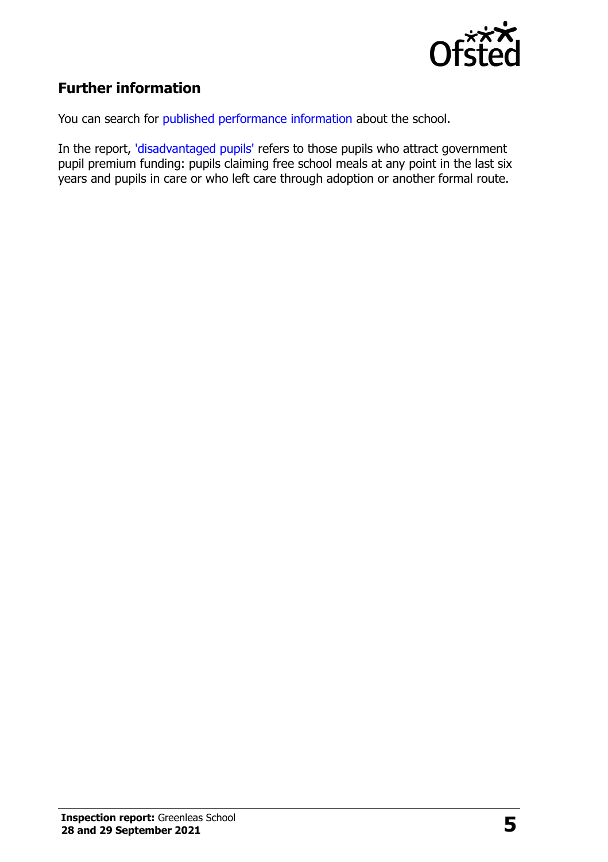

# **Further information**

You can search for [published performance information](http://www.compare-school-performance.service.gov.uk/) about the school.

In the report, ['disadvantaged pupils'](http://www.gov.uk/guidance/pupil-premium-information-for-schools-and-alternative-provision-settings) refers to those pupils who attract government pupil premium funding: pupils claiming free school meals at any point in the last six years and pupils in care or who left care through adoption or another formal route.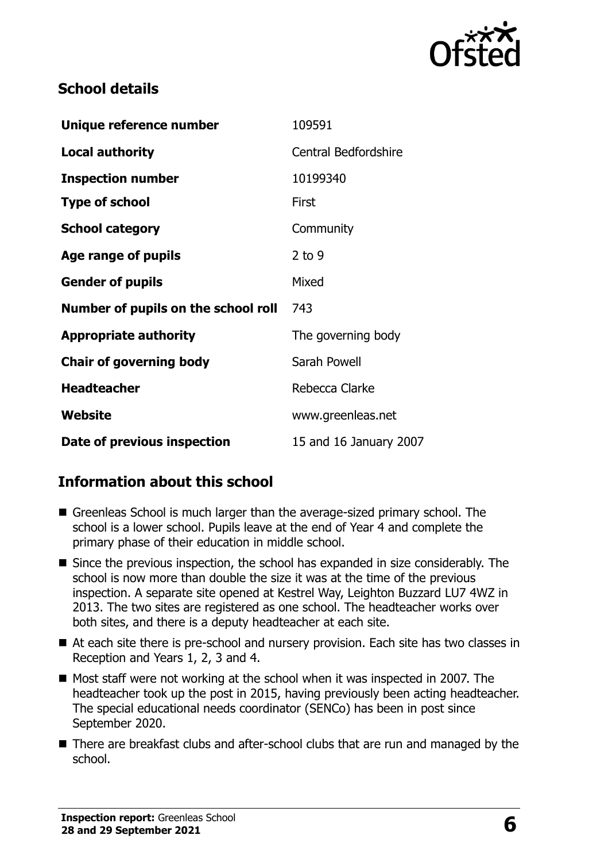

# **School details**

| Unique reference number             | 109591                      |
|-------------------------------------|-----------------------------|
| <b>Local authority</b>              | <b>Central Bedfordshire</b> |
| <b>Inspection number</b>            | 10199340                    |
| <b>Type of school</b>               | First                       |
| <b>School category</b>              | Community                   |
| Age range of pupils                 | $2$ to 9                    |
| <b>Gender of pupils</b>             | Mixed                       |
| Number of pupils on the school roll | 743                         |
| <b>Appropriate authority</b>        | The governing body          |
| <b>Chair of governing body</b>      | Sarah Powell                |
| <b>Headteacher</b>                  | Rebecca Clarke              |
| Website                             | www.greenleas.net           |
| Date of previous inspection         | 15 and 16 January 2007      |

# **Information about this school**

- Greenleas School is much larger than the average-sized primary school. The school is a lower school. Pupils leave at the end of Year 4 and complete the primary phase of their education in middle school.
- Since the previous inspection, the school has expanded in size considerably. The school is now more than double the size it was at the time of the previous inspection. A separate site opened at Kestrel Way, Leighton Buzzard LU7 4WZ in 2013. The two sites are registered as one school. The headteacher works over both sites, and there is a deputy headteacher at each site.
- At each site there is pre-school and nursery provision. Each site has two classes in Reception and Years 1, 2, 3 and 4.
- Most staff were not working at the school when it was inspected in 2007. The headteacher took up the post in 2015, having previously been acting headteacher. The special educational needs coordinator (SENCo) has been in post since September 2020.
- There are breakfast clubs and after-school clubs that are run and managed by the school.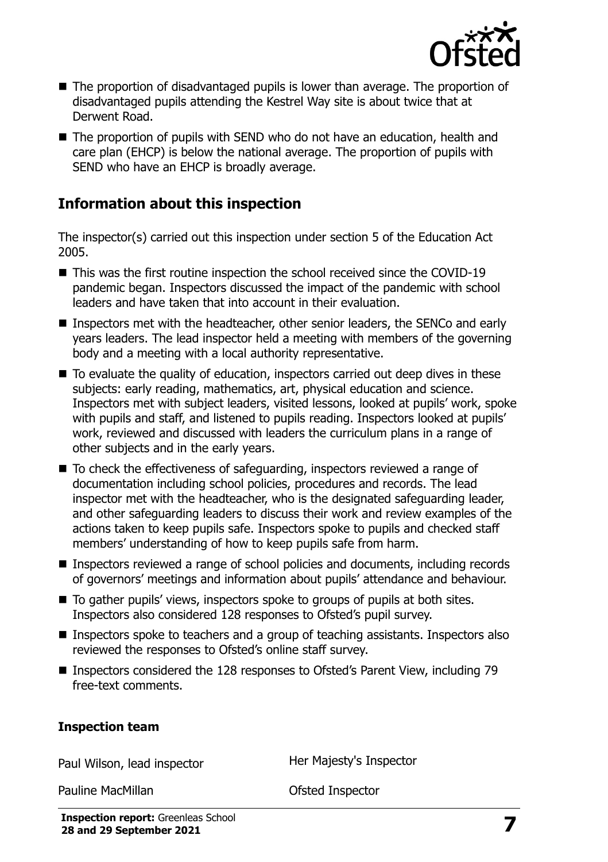

- The proportion of disadvantaged pupils is lower than average. The proportion of disadvantaged pupils attending the Kestrel Way site is about twice that at Derwent Road.
- The proportion of pupils with SEND who do not have an education, health and care plan (EHCP) is below the national average. The proportion of pupils with SEND who have an EHCP is broadly average.

# **Information about this inspection**

The inspector(s) carried out this inspection under section 5 of the Education Act 2005.

- This was the first routine inspection the school received since the COVID-19 pandemic began. Inspectors discussed the impact of the pandemic with school leaders and have taken that into account in their evaluation.
- Inspectors met with the headteacher, other senior leaders, the SENCo and early years leaders. The lead inspector held a meeting with members of the governing body and a meeting with a local authority representative.
- To evaluate the quality of education, inspectors carried out deep dives in these subjects: early reading, mathematics, art, physical education and science. Inspectors met with subject leaders, visited lessons, looked at pupils' work, spoke with pupils and staff, and listened to pupils reading. Inspectors looked at pupils' work, reviewed and discussed with leaders the curriculum plans in a range of other subjects and in the early years.
- To check the effectiveness of safeguarding, inspectors reviewed a range of documentation including school policies, procedures and records. The lead inspector met with the headteacher, who is the designated safeguarding leader, and other safeguarding leaders to discuss their work and review examples of the actions taken to keep pupils safe. Inspectors spoke to pupils and checked staff members' understanding of how to keep pupils safe from harm.
- Inspectors reviewed a range of school policies and documents, including records of governors' meetings and information about pupils' attendance and behaviour.
- To gather pupils' views, inspectors spoke to groups of pupils at both sites. Inspectors also considered 128 responses to Ofsted's pupil survey.
- Inspectors spoke to teachers and a group of teaching assistants. Inspectors also reviewed the responses to Ofsted's online staff survey.
- Inspectors considered the 128 responses to Ofsted's Parent View, including 79 free-text comments.

#### **Inspection team**

Paul Wilson, lead inspector **Her Majesty's Inspector** 

Pauline MacMillan **Pauline MacMillan Constanting Constanting Constanting Constanting Constanting Constanting Constanting Constanting Constanting Constanting Constanting Constanting Constanting Constanting Constanting Con**